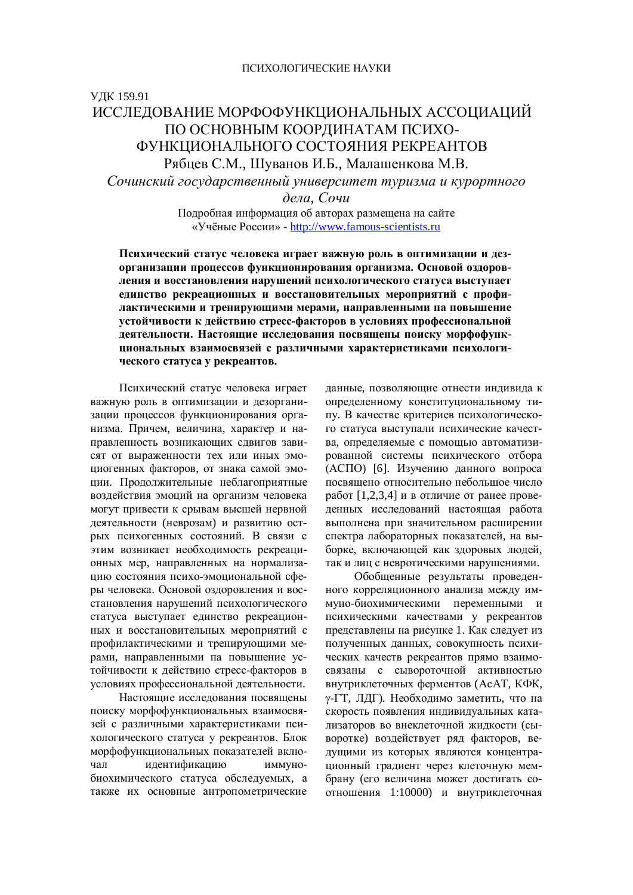# ɍȾɄ 159.91

# ИССЛЕЛОВАНИЕ МОРФОФУНКЦИОНАЛЬНЫХ АССОЦИАЦИЙ ПО ОСНОВНЫМ КООРДИНАТАМ ПСИХО-ФУНКЦИОНАЛЬНОГО СОСТОЯНИЯ РЕКРЕАНТОВ Рябцев С.М., Шуванов И.Б., Малашенкова М.В.

Сочинский государственный университет туризма и курортного

 $\partial$ *ena*, *Сочи* 

Подробная информация об авторах размещена на сайте «Учёные России» - http://www.famous-scientists.ru

Психический статус человека играет важную роль в оптимизации и дез-**• организации процессов функционирования организма. Основой оздоров**ления и восстановления нарушений психологического статуса выступает единство рекреационных и восстановительных мероприятий с профилактическими и тренирующими мерами, направленными па повышение **УСТОЙЧИВОСТИ К ДЕЙСТВИЮ СТРЕСС-ФАКТОРОВ В УСЛОВИЯХ ПРОФЕССИОНАЛЬНОЙ** деятельности. Настоящие исследования посвящены поиску морфофункциональных взаимосвязей с различными характеристиками психологического статуса у рекреантов.

Психический статус человека играет важную роль в оптимизации и дезорганизации процессов функционирования организма. Причем, величина, характер и направленность возникающих слвигов зависят от выраженности тех или иных эмоциогенных факторов, от знака самой эмоции. Продолжительные неблагоприятные возлействия эмоций на организм человека могут привести к срывам высшей нервной деятельности (неврозам) и развитию острых психогенных состояний. В связи с этим возникает необходимость рекреационных мер, направленных на нормализацию состояния психо-эмоциональной сферы человека. Основой оздоровления и восстановления нарушений психологического статуса выступает единство рекреационных и восстановительных мероприятий с профилактическими и тренирующими мерами, направленными па повышение устойчивости к действию стресс-факторов в условиях профессиональной деятельности.

Настоящие исследования посвящены поиску морфофункциональных взаимосвязей с различными характеристиками психологического статуса у рекреантов. Блок морфофункциональных показателей включал идентификацию иммунобиохимического статуса обследуемых, а также их основные антропометрические данные, позволяющие отнести индивида к определенному конституциональному типу. В качестве критериев психологического статуса выступали психические качества, определяемые с помощью автоматизированной системы психического отбора (АСПО) [6]. Изучению данного вопроса посвящено относительно небольшое число работ  $[1,2,3,4]$  и в отличие от ранее проведенных исслелований настоящая работа выполнена при значительном расширении спектра лабораторных показателей, на выборке, включающей как здоровых людей, так и лиц с невротическими нарушениями.

Обобщенные результаты проведенного корреляционного анализа между иммуно-биохимическими переменными и психическими качествами у рекреантов представлены на рисунке 1. Как следует из полученных данных, совокупность психических качеств рекреантов прямо взаимосвязаны с сывороточной активностью внутриклеточных ферментов (АсАТ, КФК, у-ГТ, ЛДГ). Необходимо заметить, что на скорость появления индивидуальных катализаторов во внеклеточной жидкости (сыворотке) воздействует ряд факторов, ведущими из которых являются концентрационный градиент через клеточную мембрану (его величина может достигать соотношения 1:10000) и внутриклеточная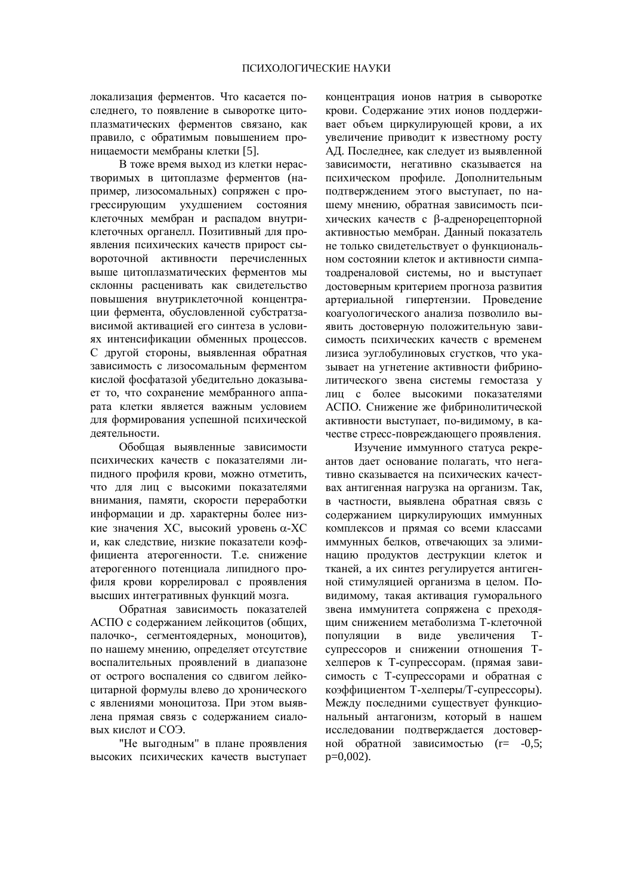локализация ферментов. Что касается последнего, то появление в сыворотке цитоплазматических ферментов связано, как правило, с обратимым повышением проницаемости мембраны клетки [5].

В тоже время выход из клетки нерастворимых в цитоплазме ферментов (например, лизосомальных) сопряжен с прогрессирующим ухудшением состояния клеточных мембран и распадом внутриклеточных органелл. Позитивный для проявления психических качеств прирост сывороточной активности перечисленных выше цитоплазматических ферментов мы склонны расценивать как свидетельство повышения внутриклеточной концентрации фермента, обусловленной субстратзависимой активацией его синтеза в условиях интенсификации обменных процессов. С другой стороны, выявленная обратная зависимость с лизосомальным ферментом кислой фосфатазой убедительно доказывает то, что сохранение мембранного аппарата клетки является важным условием для формирования успешной психической леятельности.

Обобшая выявленные зависимости психических качеств с показателями липидного профиля крови, можно отметить, что для лиц с высокими показателями внимания, памяти, скорости переработки информации и др. характерны более низкие значения ХС, высокий уровень α-ХС и, как следствие, низкие показатели коэффициента атерогенности. Т.е. снижение атерогенного потенциала липидного профиля крови коррелировал с проявления высших интегративных функций мозга.

Обратная зависимость показателей АСПО с содержанием лейкоцитов (общих, палочко-, сегментоядерных, моноцитов), по нашему мнению, определяет отсутствие воспалительных проявлений в диапазоне от острого воспаления со сдвигом лейкоцитарной формулы влево до хронического с явлениями моноцитоза. При этом выявлена прямая связь с содержанием сиаловых кислот и СОЭ.

"Не выгодным" в плане проявления высоких психических качеств выступает концентрация ионов натрия в сыворотке крови. Содержание этих ионов поддерживает объем циркулирующей крови, а их VBеличение приволит к известному росту АД. Последнее, как следует из выявленной зависимости, негативно сказывается на психическом профиле. Дополнительным подтверждением этого выступает, по нашему мнению, обратная зависимость психических качеств с В-адренорецепторной активностью мембран. Данный показатель не только свидетельствует о функциональном состоянии клеток и активности симпатоадреналовой системы, но и выступает достоверным критерием прогноза развития артериальной гипертензии. Проведение коагуологического анализа позволило выявить достоверную положительную зависимость психических качеств с временем лизиса эуглобулиновых сгустков, что указывает на угнетение активности фибринолитического звена системы гемостаза у лиц с более высокими показателями АСПО. Снижение же фибринолитической активности выступает, по-видимому, в качестве стресс-повреждающего проявления.

Изучение иммунного статуса рекреантов лает основание полагать, что негативно сказывается на психических качествах антигенная нагрузка на организм. Так, в частности, выявлена обратная связь с содержанием циркулирующих иммунных комплексов и прямая со всеми классами иммунных белков, отвечающих за элиминацию продуктов деструкции клеток и тканей, а их синтез регулируется антигенной стимуляцией организма в целом. Повидимому, такая активация гуморального звена иммунитета сопряжена с преходящим снижением метаболизма Т-клеточной популяции в виде увеличения Тсупрессоров и снижении отношения Тхелперов к Т-супрессорам. (прямая зависимость с Т-супрессорами и обратная с коэффициентом Т-хелперы/Т-супрессоры). Между последними существует функциональный антагонизм, который в нашем исследовании подтверждается достоверной обратной зависимостью (r= -0,5;  $p=0.002$ ).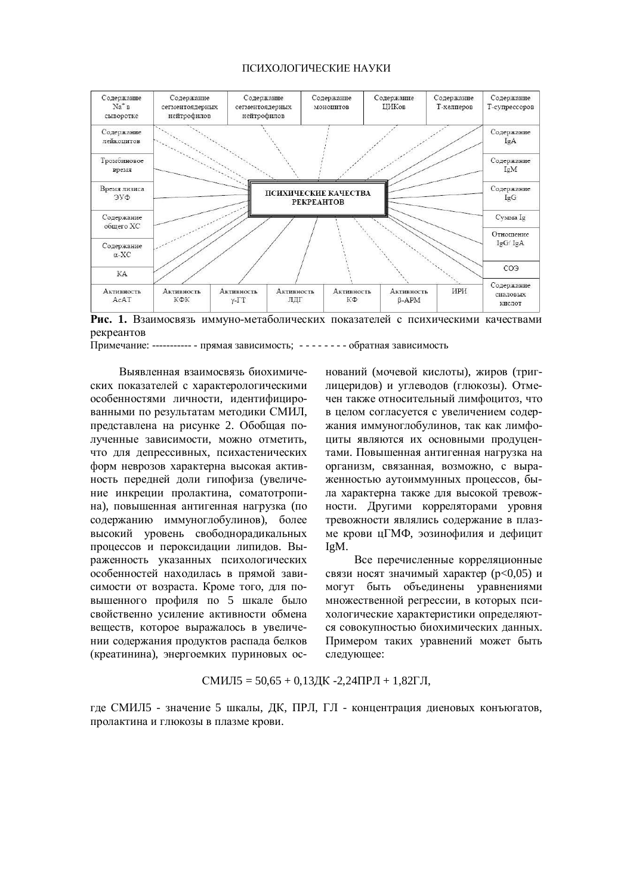### ПСИХОЛОГИЧЕСКИЕ НАУКИ



Рис. 1. Взаимосвязь иммуно-метаболических показателей с психическими качествами рекреантов

Примечание: ---------- - прямая зависимость; - - - - - - - - обратная зависимость

Выявленная взаимосвязь биохимических показателей с характерологическими особенностями личности, идентифицированными по результатам методики СМИЛ, представлена на рисунке 2. Обобщая полученные зависимости, можно отметить, что для депрессивных, психастенических форм неврозов характерна высокая активность передней доли гипофиза (увеличение инкреции пролактина, соматотропина), повышенная антигенная нагрузка (по содержанию иммуноглобулинов), более высокий уровень свободнорадикальных процессов и пероксидации липидов. Выраженность указанных психологических особенностей находилась в прямой зависимости от возраста. Кроме того, для повышенного профиля по 5 шкале было свойственно усиление активности обмена веществ, которое выражалось в увеличении содержания продуктов распада белков (креатинина), энергоемких пуриновых оснований (мочевой кислоты), жиров (триглицеридов) и углеводов (глюкозы). Отмечен также относительный лимфоцитоз, что в целом согласуется с увеличением содержания иммуноглобулинов, так как лимфоциты являются их основными продуцентами. Повышенная антигенная нагрузка на организм, связанная, возможно, с выраженностью аутоиммунных процессов, была характерна также для высокой тревожности. Другими корреляторами уровня тревожности являлись содержание в плазме крови цГМФ, эозинофилия и дефицит IgM.

Все перечисленные корреляционные связи носят значимый характер (p<0,05) и могут быть объединены уравнениями множественной регрессии, в которых психологические характеристики определяются совокупностью биохимических данных. Примером таких уравнений может быть следующее:

$$
CMMJI5 = 50,65 + 0,13\,\text{JK} -2,24\,\text{TPJI} + 1,82\,\text{FJI},
$$

где СМИЛ5 - значение 5 шкалы, ДК, ПРЛ, ГЛ - концентрация диеновых конъюгатов, пролактина и глюкозы в плазме крови.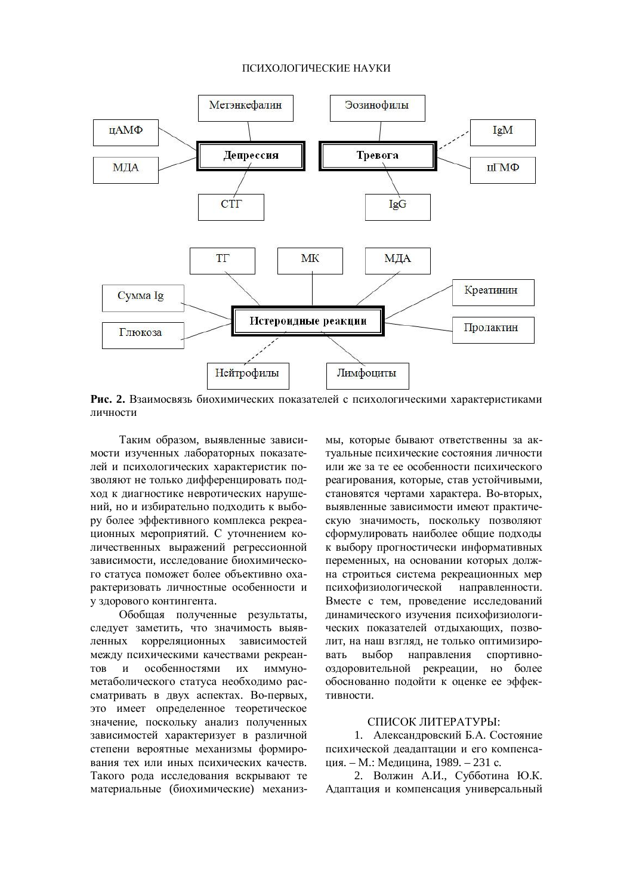#### ПСИХОЛОГИЧЕСКИЕ НАУКИ



Рис. 2. Взаимосвязь биохимических показателей с психологическими характеристиками личности

Таким образом, выявленные зависимости изученных лабораторных показателей и психологических характеристик позволяют не только дифференцировать подход к диагностике невротических нарушений, но и избирательно подходить к выбору более эффективного комплекса рекреационных мероприятий. С уточнением количественных выражений регрессионной зависимости, исследование биохимического статуса поможет более объективно охарактеризовать личностные особенности и у здорового контингента.

Обобщая полученные результаты, следует заметить, что значимость выявленных корреляционных зависимостей между психическими качествами рекреантов и особенностями их иммунометаболического статуса необходимо рассматривать в двух аспектах. Во-первых, это имеет определенное теоретическое значение, поскольку анализ полученных зависимостей характеризует в различной степени вероятные механизмы формирования тех или иных психических качеств. Такого рола исслелования вскрывают те материальные (биохимические) механизмы, которые бывают ответственны за актуальные психические состояния личности или же за те ее особенности психического реагирования, которые, став устойчивыми, становятся чертами характера. Во-вторых, выявленные зависимости имеют практическую значимость, поскольку позволяют сформулировать наиболее общие подходы к выбору прогностически информативных переменных, на основании которых должна строиться система рекреационных мер психофизиологической направленности. Вместе с тем, проведение исследований динамического изучения психофизиологических показателей отдыхающих, позволит, на наш взглял, не только оптимизировать выбор направления спортивнооздоровительной рекреации, но более обоснованно подойти к оценке ее эффективности.

## СПИСОК ЛИТЕРАТУРЫ:

1. Александровский Б.А. Состояние психической леалаптации и его компенсаɰɢɹ. – Ɇ.: Ɇɟɞɢɰɢɧɚ, 1989. – 231 ɫ.

2. Волжин А.И., Субботина Ю.К. Адаптация и компенсация универсальный